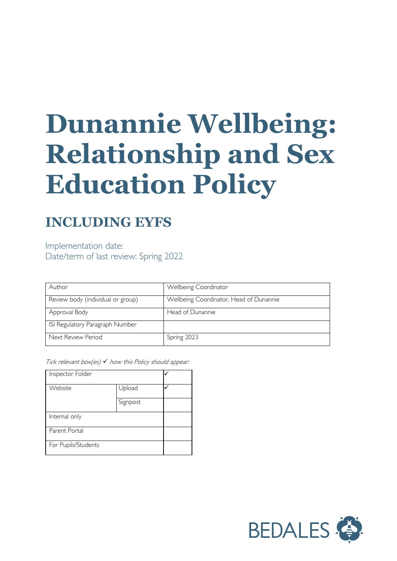# **Dunannie Wellbeing: Relationship and Sex Education Policy**

## **INCLUDING EYFS**

Implementation date: Date/term of last review: Spring 2022

| Author                            | Wellbeing Coordinator                   |
|-----------------------------------|-----------------------------------------|
| Review body (individual or group) | Wellbeing Coordinator, Head of Dunannie |
| Approval Body                     | Head of Dunannie                        |
| ISI Regulatory Paragraph Number   |                                         |
| Next Review Period                | Spring 2023                             |

Tick relevant box(es)  $\checkmark$  how this Policy should appear:

| Inspector Folder    |          |  |
|---------------------|----------|--|
| Website             | Upload   |  |
|                     | Signpost |  |
| Internal only       |          |  |
| Parent Portal       |          |  |
| For Pupils/Students |          |  |

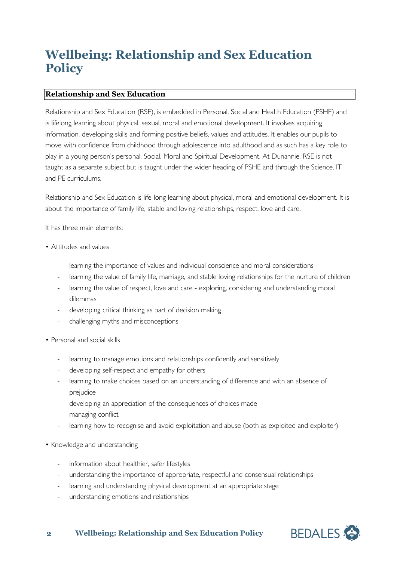### **Wellbeing: Relationship and Sex Education Policy**

#### **Relationship and Sex Education**

Relationship and Sex Education (RSE), is embedded in Personal, Social and Health Education (PSHE) and is lifelong learning about physical, sexual, moral and emotional development. It involves acquiring information, developing skills and forming positive beliefs, values and attitudes. It enables our pupils to move with confidence from childhood through adolescence into adulthood and as such has a key role to play in a young person's personal, Social, Moral and Spiritual Development. At Dunannie, RSE is not taught as a separate subject but is taught under the wider heading of PSHE and through the Science, IT and PE curriculums.

Relationship and Sex Education is life-long learning about physical, moral and emotional development. It is about the importance of family life, stable and loving relationships, respect, love and care.

It has three main elements:

- Attitudes and values
	- learning the importance of values and individual conscience and moral considerations
	- learning the value of family life, marriage, and stable loving relationships for the nurture of children
	- learning the value of respect, love and care exploring, considering and understanding moral dilemmas
	- developing critical thinking as part of decision making
	- challenging myths and misconceptions
- Personal and social skills
	- learning to manage emotions and relationships confidently and sensitively
	- developing self-respect and empathy for others
	- learning to make choices based on an understanding of difference and with an absence of prejudice
	- developing an appreciation of the consequences of choices made
	- managing conflict
	- learning how to recognise and avoid exploitation and abuse (both as exploited and exploiter)
- Knowledge and understanding
	- information about healthier, safer lifestyles
	- understanding the importance of appropriate, respectful and consensual relationships
	- learning and understanding physical development at an appropriate stage
	- understanding emotions and relationships

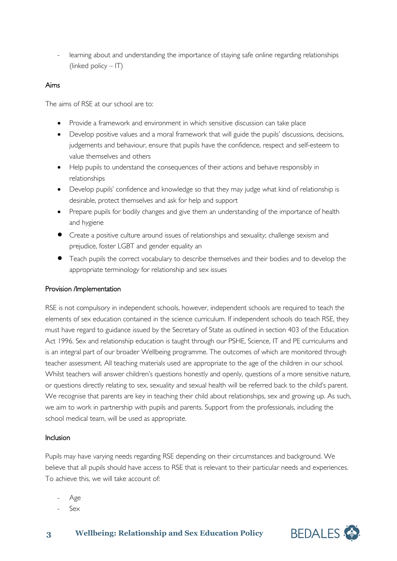- learning about and understanding the importance of staying safe online regarding relationships (linked policy – IT)

#### Aims

The aims of RSE at our school are to:

- Provide a framework and environment in which sensitive discussion can take place
- Develop positive values and a moral framework that will guide the pupils' discussions, decisions, judgements and behaviour, ensure that pupils have the confidence, respect and self-esteem to value themselves and others
- Help pupils to understand the consequences of their actions and behave responsibly in relationships
- Develop pupils' confidence and knowledge so that they may judge what kind of relationship is desirable, protect themselves and ask for help and support
- Prepare pupils for bodily changes and give them an understanding of the importance of health and hygiene
- Create a positive culture around issues of relationships and sexuality; challenge sexism and prejudice, foster LGBT and gender equality an
- Teach pupils the correct vocabulary to describe themselves and their bodies and to develop the appropriate terminology for relationship and sex issues

#### Provision /Implementation

RSE is not compulsory in independent schools, however, independent schools are required to teach the elements of sex education contained in the science curriculum. If independent schools do teach RSE, they must have regard to guidance issued by the Secretary of State as outlined in section 403 of the Education Act 1996. Sex and relationship education is taught through our PSHE, Science, IT and PE curriculums and is an integral part of our broader Wellbeing programme. The outcomes of which are monitored through teacher assessment. All teaching materials used are appropriate to the age of the children in our school. Whilst teachers will answer children's questions honestly and openly, questions of a more sensitive nature, or questions directly relating to sex, sexuality and sexual health will be referred back to the child's parent. We recognise that parents are key in teaching their child about relationships, sex and growing up. As such, we aim to work in partnership with pupils and parents. Support from the professionals, including the school medical team, will be used as appropriate.

#### Inclusion

Pupils may have varying needs regarding RSE depending on their circumstances and background. We believe that all pupils should have access to RSE that is relevant to their particular needs and experiences. To achieve this, we will take account of:

- Age
- Sex